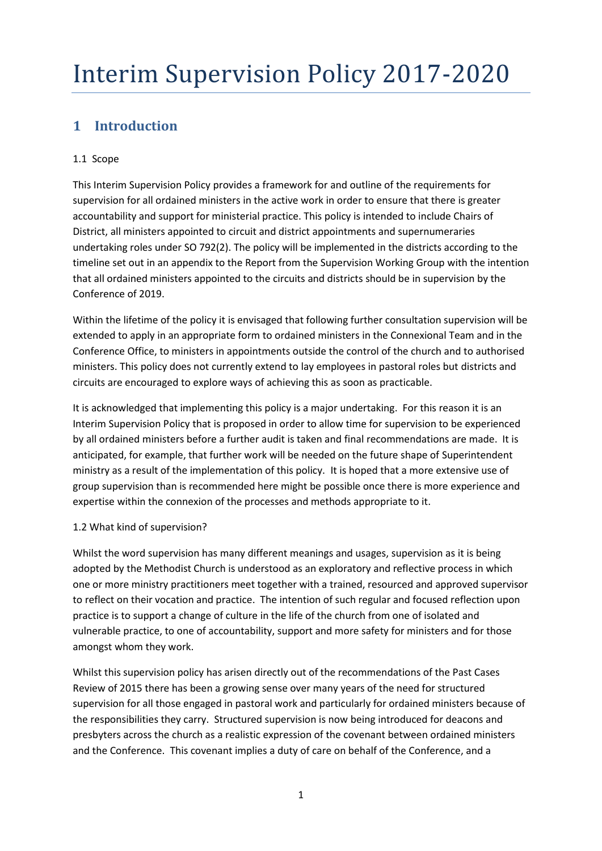## **1 Introduction**

### 1.1 Scope

This Interim Supervision Policy provides a framework for and outline of the requirements for supervision for all ordained ministers in the active work in order to ensure that there is greater accountability and support for ministerial practice. This policy is intended to include Chairs of District, all ministers appointed to circuit and district appointments and supernumeraries undertaking roles under SO 792(2). The policy will be implemented in the districts according to the timeline set out in an appendix to the Report from the Supervision Working Group with the intention that all ordained ministers appointed to the circuits and districts should be in supervision by the Conference of 2019.

Within the lifetime of the policy it is envisaged that following further consultation supervision will be extended to apply in an appropriate form to ordained ministers in the Connexional Team and in the Conference Office, to ministers in appointments outside the control of the church and to authorised ministers. This policy does not currently extend to lay employees in pastoral roles but districts and circuits are encouraged to explore ways of achieving this as soon as practicable.

It is acknowledged that implementing this policy is a major undertaking. For this reason it is an Interim Supervision Policy that is proposed in order to allow time for supervision to be experienced by all ordained ministers before a further audit is taken and final recommendations are made. It is anticipated, for example, that further work will be needed on the future shape of Superintendent ministry as a result of the implementation of this policy. It is hoped that a more extensive use of group supervision than is recommended here might be possible once there is more experience and expertise within the connexion of the processes and methods appropriate to it.

### 1.2 What kind of supervision?

Whilst the word supervision has many different meanings and usages, supervision as it is being adopted by the Methodist Church is understood as an exploratory and reflective process in which one or more ministry practitioners meet together with a trained, resourced and approved supervisor to reflect on their vocation and practice. The intention of such regular and focused reflection upon practice is to support a change of culture in the life of the church from one of isolated and vulnerable practice, to one of accountability, support and more safety for ministers and for those amongst whom they work.

Whilst this supervision policy has arisen directly out of the recommendations of the Past Cases Review of 2015 there has been a growing sense over many years of the need for structured supervision for all those engaged in pastoral work and particularly for ordained ministers because of the responsibilities they carry. Structured supervision is now being introduced for deacons and presbyters across the church as a realistic expression of the covenant between ordained ministers and the Conference. This covenant implies a duty of care on behalf of the Conference, and a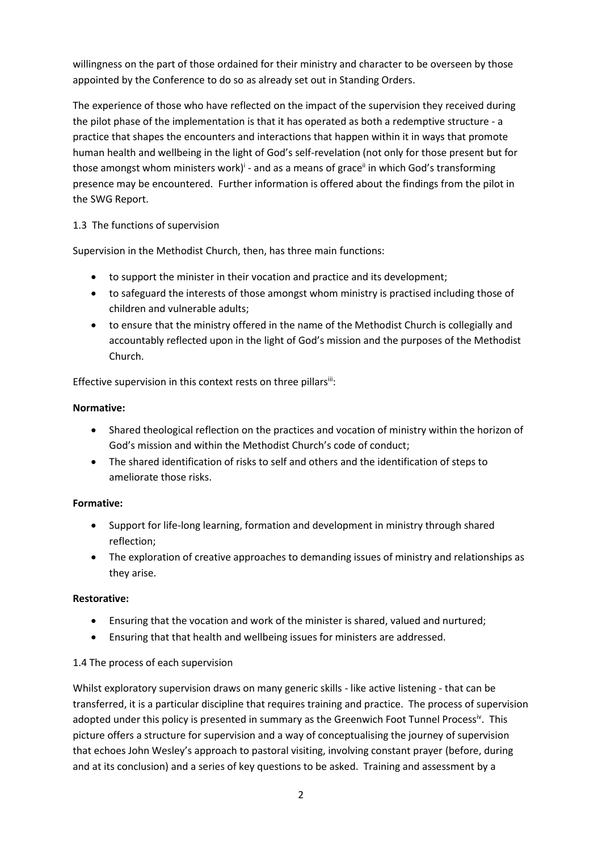willingness on the part of those ordained for their ministry and character to be overseen by those appointed by the Conference to do so as already set out in Standing Orders.

The experience of those who have reflected on the impact of the supervision they received during the pilot phase of the implementation is that it has operated as both a redemptive structure - a practice that shapes the encounters and interactions that happen within it in ways that promote human health and wellbeing in the light of God's self-revelation (not only for those present but for those amongst whom ministers work)<sup>i</sup> - and as a means of grace<sup>ii</sup> in which God's transforming presence may be encountered. Further information is offered about the findings from the pilot in the SWG Report.

### 1.3 The functions of supervision

Supervision in the Methodist Church, then, has three main functions:

- to support the minister in their vocation and practice and its development;
- to safeguard the interests of those amongst whom ministry is practised including those of children and vulnerable adults;
- to ensure that the ministry offered in the name of the Methodist Church is collegially and accountably reflected upon in the light of God's mission and the purposes of the Methodist Church.

Effective supervision in this context rests on three pillars<sup>iii</sup>:

### **Normative:**

- Shared theological reflection on the practices and vocation of ministry within the horizon of God's mission and within the Methodist Church's code of conduct;
- The shared identification of risks to self and others and the identification of steps to ameliorate those risks.

### **Formative:**

- Support for life-long learning, formation and development in ministry through shared reflection;
- The exploration of creative approaches to demanding issues of ministry and relationships as they arise.

### **Restorative:**

- Ensuring that the vocation and work of the minister is shared, valued and nurtured;
- Ensuring that that health and wellbeing issues for ministers are addressed.

### 1.4 The process of each supervision

Whilst exploratory supervision draws on many generic skills - like active listening - that can be transferred, it is a particular discipline that requires training and practice. The process of supervision adopted under this policy is presented in summary as the Greenwich Foot Tunnel Process<sup>iv</sup>. This picture offers a structure for supervision and a way of conceptualising the journey of supervision that echoes John Wesley's approach to pastoral visiting, involving constant prayer (before, during and at its conclusion) and a series of key questions to be asked. Training and assessment by a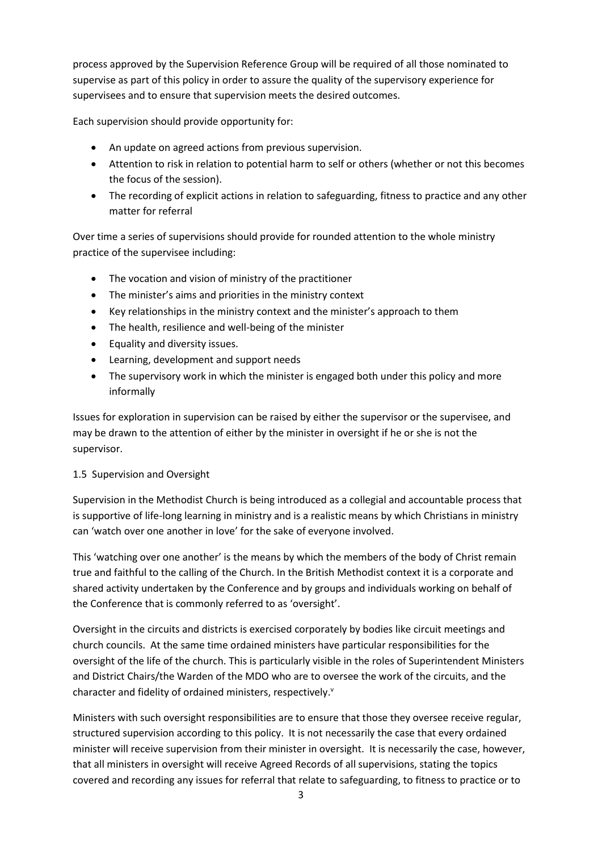process approved by the Supervision Reference Group will be required of all those nominated to supervise as part of this policy in order to assure the quality of the supervisory experience for supervisees and to ensure that supervision meets the desired outcomes.

Each supervision should provide opportunity for:

- An update on agreed actions from previous supervision.
- Attention to risk in relation to potential harm to self or others (whether or not this becomes the focus of the session).
- The recording of explicit actions in relation to safeguarding, fitness to practice and any other matter for referral

Over time a series of supervisions should provide for rounded attention to the whole ministry practice of the supervisee including:

- The vocation and vision of ministry of the practitioner
- The minister's aims and priorities in the ministry context
- Key relationships in the ministry context and the minister's approach to them
- The health, resilience and well-being of the minister
- Equality and diversity issues.
- Learning, development and support needs
- The supervisory work in which the minister is engaged both under this policy and more informally

Issues for exploration in supervision can be raised by either the supervisor or the supervisee, and may be drawn to the attention of either by the minister in oversight if he or she is not the supervisor.

### 1.5 Supervision and Oversight

Supervision in the Methodist Church is being introduced as a collegial and accountable process that is supportive of life-long learning in ministry and is a realistic means by which Christians in ministry can 'watch over one another in love' for the sake of everyone involved.

This 'watching over one another' is the means by which the members of the body of Christ remain true and faithful to the calling of the Church. In the British Methodist context it is a corporate and shared activity undertaken by the Conference and by groups and individuals working on behalf of the Conference that is commonly referred to as 'oversight'.

Oversight in the circuits and districts is exercised corporately by bodies like circuit meetings and church councils. At the same time ordained ministers have particular responsibilities for the oversight of the life of the church. This is particularly visible in the roles of Superintendent Ministers and District Chairs/the Warden of the MDO who are to oversee the work of the circuits, and the character and fidelity of ordained ministers, respectively.<sup>v</sup>

Ministers with such oversight responsibilities are to ensure that those they oversee receive regular, structured supervision according to this policy. It is not necessarily the case that every ordained minister will receive supervision from their minister in oversight. It is necessarily the case, however, that all ministers in oversight will receive Agreed Records of all supervisions, stating the topics covered and recording any issues for referral that relate to safeguarding, to fitness to practice or to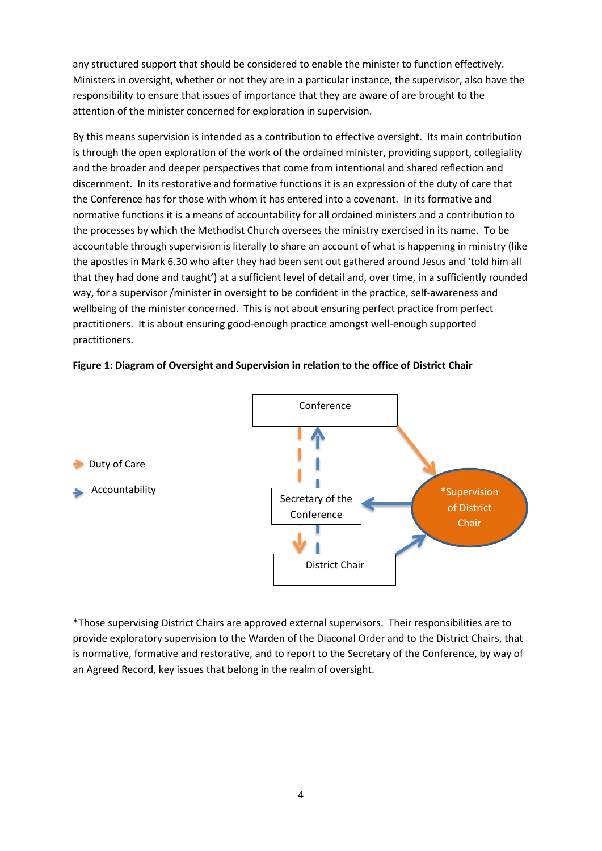any structured support that should be considered to enable the minister to function effectively. Ministers in oversight, whether or not they are in a particular instance, the supervisor, also have the responsibility to ensure that issues of importance that they are aware of are brought to the attention of the minister concerned for exploration in supervision.

By this means supervision is intended as a contribution to effective oversight. Its main contribution is through the open exploration of the work of the ordained minister, providing support, collegiality and the broader and deeper perspectives that come from intentional and shared reflection and discernment. In its restorative and formative functions it is an expression of the duty of care that the Conference has for those with whom it has entered into a covenant. In its formative and normative functions it is a means of accountability for all ordained ministers and a contribution to the processes by which the Methodist Church oversees the ministry exercised in its name. To be accountable through supervision is literally to share an account of what is happening in ministry (like the apostles in Mark 6.30 who after they had been sent out gathered around Jesus and 'told him all that they had done and taught') at a sufficient level of detail and, over time, in a sufficiently rounded way, for a supervisor /minister in oversight to be confident in the practice, self-awareness and wellbeing of the minister concerned. This is not about ensuring perfect practice from perfect practitioners. It is about ensuring good-enough practice amongst well-enough supported practitioners.

### **Figure 1: Diagram of Oversight and Supervision in relation to the office of District Chair**



\*Those supervising District Chairs are approved external supervisors. Their responsibilities are to provide exploratory supervision to the Warden of the Diaconal Order and to the District Chairs, that is normative, formative and restorative, and to report to the Secretary of the Conference, by way of an Agreed Record, key issues that belong in the realm of oversight.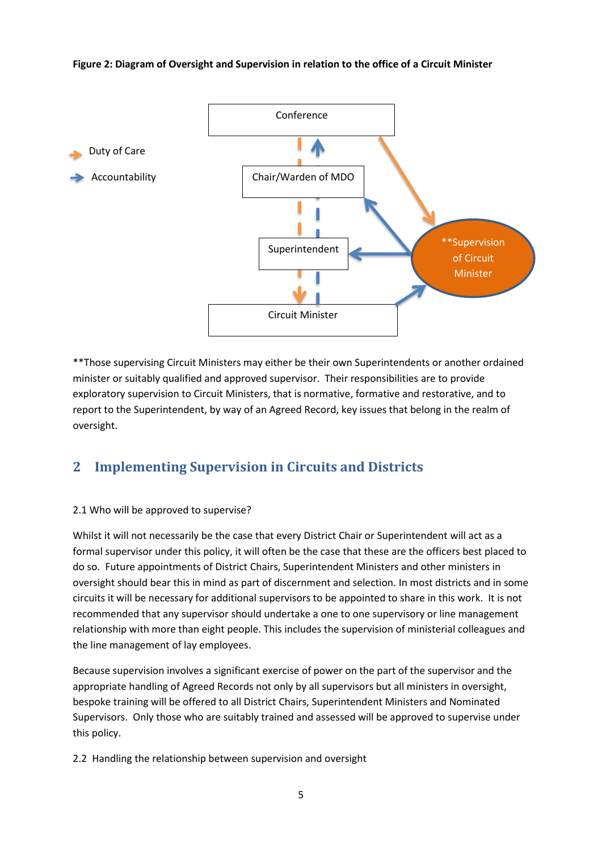#### **Figure 2: Diagram of Oversight and Supervision in relation to the office of a Circuit Minister**



\*\*Those supervising Circuit Ministers may either be their own Superintendents or another ordained minister or suitably qualified and approved supervisor. Their responsibilities are to provide exploratory supervision to Circuit Ministers, that is normative, formative and restorative, and to report to the Superintendent, by way of an Agreed Record, key issues that belong in the realm of oversight.

### **2 Implementing Supervision in Circuits and Districts**

### 2.1 Who will be approved to supervise?

Whilst it will not necessarily be the case that every District Chair or Superintendent will act as a formal supervisor under this policy, it will often be the case that these are the officers best placed to do so. Future appointments of District Chairs, Superintendent Ministers and other ministers in oversight should bear this in mind as part of discernment and selection. In most districts and in some circuits it will be necessary for additional supervisors to be appointed to share in this work. It is not recommended that any supervisor should undertake a one to one supervisory or line management relationship with more than eight people. This includes the supervision of ministerial colleagues and the line management of lay employees.

Because supervision involves a significant exercise of power on the part of the supervisor and the appropriate handling of Agreed Records not only by all supervisors but all ministers in oversight, bespoke training will be offered to all District Chairs, Superintendent Ministers and Nominated Supervisors. Only those who are suitably trained and assessed will be approved to supervise under this policy.

2.2 Handling the relationship between supervision and oversight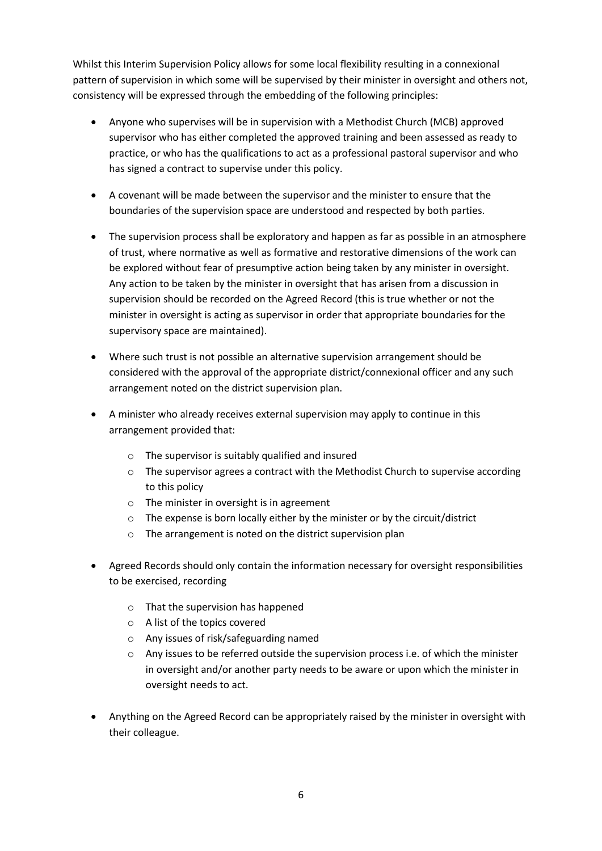Whilst this Interim Supervision Policy allows for some local flexibility resulting in a connexional pattern of supervision in which some will be supervised by their minister in oversight and others not, consistency will be expressed through the embedding of the following principles:

- Anyone who supervises will be in supervision with a Methodist Church (MCB) approved supervisor who has either completed the approved training and been assessed as ready to practice, or who has the qualifications to act as a professional pastoral supervisor and who has signed a contract to supervise under this policy.
- A covenant will be made between the supervisor and the minister to ensure that the boundaries of the supervision space are understood and respected by both parties.
- The supervision process shall be exploratory and happen as far as possible in an atmosphere of trust, where normative as well as formative and restorative dimensions of the work can be explored without fear of presumptive action being taken by any minister in oversight. Any action to be taken by the minister in oversight that has arisen from a discussion in supervision should be recorded on the Agreed Record (this is true whether or not the minister in oversight is acting as supervisor in order that appropriate boundaries for the supervisory space are maintained).
- Where such trust is not possible an alternative supervision arrangement should be considered with the approval of the appropriate district/connexional officer and any such arrangement noted on the district supervision plan.
- A minister who already receives external supervision may apply to continue in this arrangement provided that:
	- o The supervisor is suitably qualified and insured
	- o The supervisor agrees a contract with the Methodist Church to supervise according to this policy
	- o The minister in oversight is in agreement
	- o The expense is born locally either by the minister or by the circuit/district
	- o The arrangement is noted on the district supervision plan
- Agreed Records should only contain the information necessary for oversight responsibilities to be exercised, recording
	- o That the supervision has happened
	- o A list of the topics covered
	- o Any issues of risk/safeguarding named
	- $\circ$  Any issues to be referred outside the supervision process i.e. of which the minister in oversight and/or another party needs to be aware or upon which the minister in oversight needs to act.
- Anything on the Agreed Record can be appropriately raised by the minister in oversight with their colleague.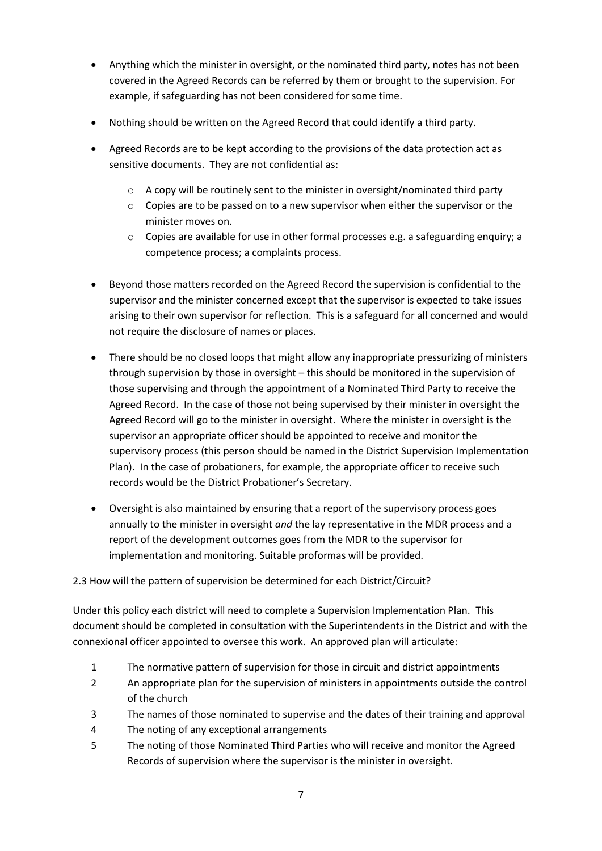- Anything which the minister in oversight, or the nominated third party, notes has not been covered in the Agreed Records can be referred by them or brought to the supervision. For example, if safeguarding has not been considered for some time.
- Nothing should be written on the Agreed Record that could identify a third party.
- Agreed Records are to be kept according to the provisions of the data protection act as sensitive documents. They are not confidential as:
	- $\circ$  A copy will be routinely sent to the minister in oversight/nominated third party
	- $\circ$  Copies are to be passed on to a new supervisor when either the supervisor or the minister moves on.
	- $\circ$  Copies are available for use in other formal processes e.g. a safeguarding enquiry; a competence process; a complaints process.
- Beyond those matters recorded on the Agreed Record the supervision is confidential to the supervisor and the minister concerned except that the supervisor is expected to take issues arising to their own supervisor for reflection. This is a safeguard for all concerned and would not require the disclosure of names or places.
- There should be no closed loops that might allow any inappropriate pressurizing of ministers through supervision by those in oversight – this should be monitored in the supervision of those supervising and through the appointment of a Nominated Third Party to receive the Agreed Record. In the case of those not being supervised by their minister in oversight the Agreed Record will go to the minister in oversight. Where the minister in oversight is the supervisor an appropriate officer should be appointed to receive and monitor the supervisory process (this person should be named in the District Supervision Implementation Plan). In the case of probationers, for example, the appropriate officer to receive such records would be the District Probationer's Secretary.
- Oversight is also maintained by ensuring that a report of the supervisory process goes annually to the minister in oversight *and* the lay representative in the MDR process and a report of the development outcomes goes from the MDR to the supervisor for implementation and monitoring. Suitable proformas will be provided.

### 2.3 How will the pattern of supervision be determined for each District/Circuit?

Under this policy each district will need to complete a Supervision Implementation Plan. This document should be completed in consultation with the Superintendents in the District and with the connexional officer appointed to oversee this work. An approved plan will articulate:

- 1 The normative pattern of supervision for those in circuit and district appointments
- 2 An appropriate plan for the supervision of ministers in appointments outside the control of the church
- 3 The names of those nominated to supervise and the dates of their training and approval
- 4 The noting of any exceptional arrangements
- 5 The noting of those Nominated Third Parties who will receive and monitor the Agreed Records of supervision where the supervisor is the minister in oversight.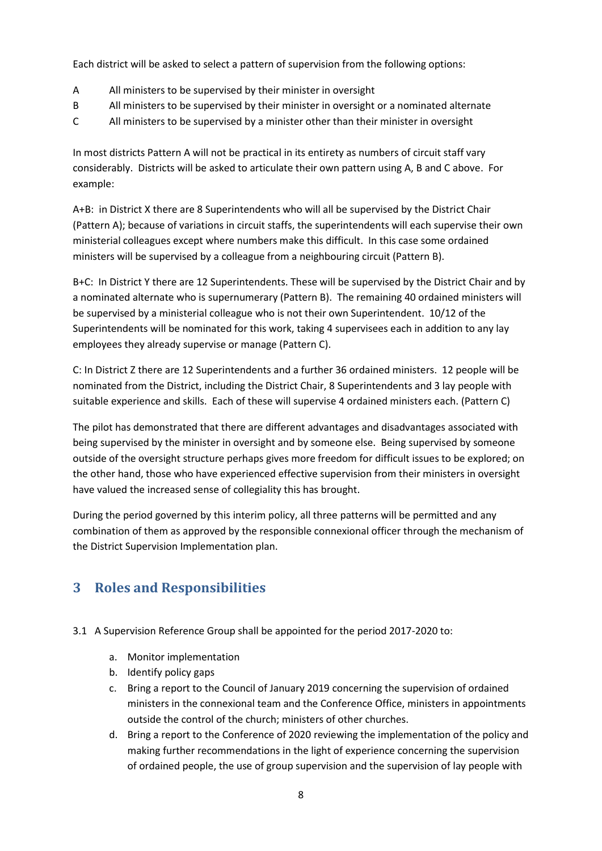Each district will be asked to select a pattern of supervision from the following options:

- A All ministers to be supervised by their minister in oversight
- B All ministers to be supervised by their minister in oversight or a nominated alternate
- C All ministers to be supervised by a minister other than their minister in oversight

In most districts Pattern A will not be practical in its entirety as numbers of circuit staff vary considerably. Districts will be asked to articulate their own pattern using A, B and C above. For example:

A+B: in District X there are 8 Superintendents who will all be supervised by the District Chair (Pattern A); because of variations in circuit staffs, the superintendents will each supervise their own ministerial colleagues except where numbers make this difficult. In this case some ordained ministers will be supervised by a colleague from a neighbouring circuit (Pattern B).

B+C: In District Y there are 12 Superintendents. These will be supervised by the District Chair and by a nominated alternate who is supernumerary (Pattern B). The remaining 40 ordained ministers will be supervised by a ministerial colleague who is not their own Superintendent. 10/12 of the Superintendents will be nominated for this work, taking 4 supervisees each in addition to any lay employees they already supervise or manage (Pattern C).

C: In District Z there are 12 Superintendents and a further 36 ordained ministers. 12 people will be nominated from the District, including the District Chair, 8 Superintendents and 3 lay people with suitable experience and skills. Each of these will supervise 4 ordained ministers each. (Pattern C)

The pilot has demonstrated that there are different advantages and disadvantages associated with being supervised by the minister in oversight and by someone else. Being supervised by someone outside of the oversight structure perhaps gives more freedom for difficult issues to be explored; on the other hand, those who have experienced effective supervision from their ministers in oversight have valued the increased sense of collegiality this has brought.

During the period governed by this interim policy, all three patterns will be permitted and any combination of them as approved by the responsible connexional officer through the mechanism of the District Supervision Implementation plan.

### **3 Roles and Responsibilities**

- 3.1 A Supervision Reference Group shall be appointed for the period 2017-2020 to:
	- a. Monitor implementation
	- b. Identify policy gaps
	- c. Bring a report to the Council of January 2019 concerning the supervision of ordained ministers in the connexional team and the Conference Office, ministers in appointments outside the control of the church; ministers of other churches.
	- d. Bring a report to the Conference of 2020 reviewing the implementation of the policy and making further recommendations in the light of experience concerning the supervision of ordained people, the use of group supervision and the supervision of lay people with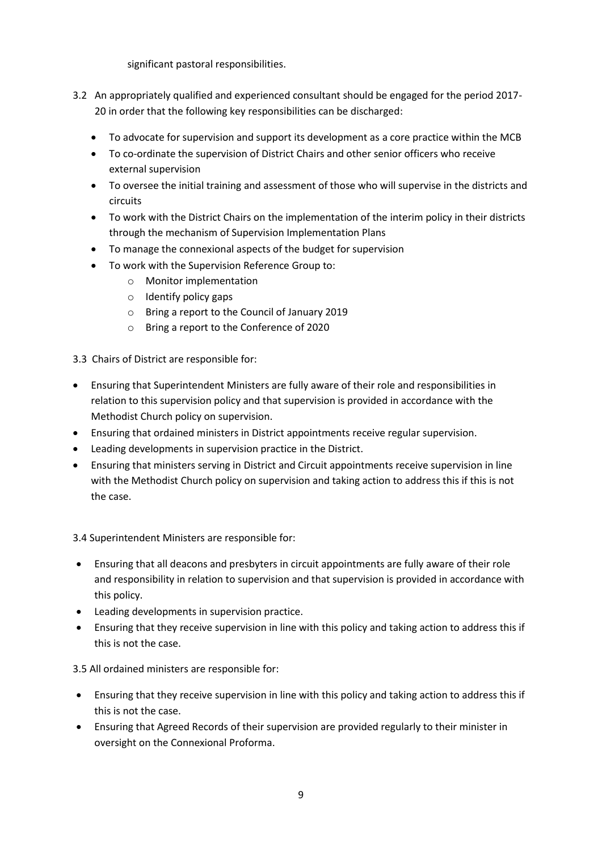significant pastoral responsibilities.

- 3.2 An appropriately qualified and experienced consultant should be engaged for the period 2017- 20 in order that the following key responsibilities can be discharged:
	- To advocate for supervision and support its development as a core practice within the MCB
	- To co-ordinate the supervision of District Chairs and other senior officers who receive external supervision
	- To oversee the initial training and assessment of those who will supervise in the districts and circuits
	- To work with the District Chairs on the implementation of the interim policy in their districts through the mechanism of Supervision Implementation Plans
	- To manage the connexional aspects of the budget for supervision
	- To work with the Supervision Reference Group to:
		- o Monitor implementation
		- o Identify policy gaps
		- o Bring a report to the Council of January 2019
		- o Bring a report to the Conference of 2020

3.3 Chairs of District are responsible for:

- Ensuring that Superintendent Ministers are fully aware of their role and responsibilities in relation to this supervision policy and that supervision is provided in accordance with the Methodist Church policy on supervision.
- Ensuring that ordained ministers in District appointments receive regular supervision.
- Leading developments in supervision practice in the District.
- Ensuring that ministers serving in District and Circuit appointments receive supervision in line with the Methodist Church policy on supervision and taking action to address this if this is not the case.

3.4 Superintendent Ministers are responsible for:

- Ensuring that all deacons and presbyters in circuit appointments are fully aware of their role and responsibility in relation to supervision and that supervision is provided in accordance with this policy.
- Leading developments in supervision practice.
- Ensuring that they receive supervision in line with this policy and taking action to address this if this is not the case.

3.5 All ordained ministers are responsible for:

- Ensuring that they receive supervision in line with this policy and taking action to address this if this is not the case.
- Ensuring that Agreed Records of their supervision are provided regularly to their minister in oversight on the Connexional Proforma.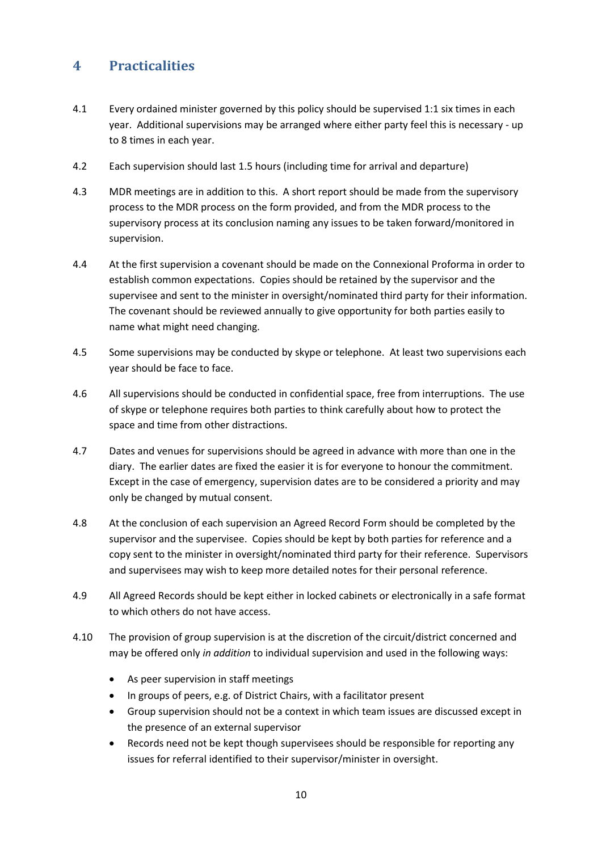### **4 Practicalities**

- 4.1 Every ordained minister governed by this policy should be supervised 1:1 six times in each year. Additional supervisions may be arranged where either party feel this is necessary - up to 8 times in each year.
- 4.2 Each supervision should last 1.5 hours (including time for arrival and departure)
- 4.3 MDR meetings are in addition to this. A short report should be made from the supervisory process to the MDR process on the form provided, and from the MDR process to the supervisory process at its conclusion naming any issues to be taken forward/monitored in supervision.
- 4.4 At the first supervision a covenant should be made on the Connexional Proforma in order to establish common expectations. Copies should be retained by the supervisor and the supervisee and sent to the minister in oversight/nominated third party for their information. The covenant should be reviewed annually to give opportunity for both parties easily to name what might need changing.
- 4.5 Some supervisions may be conducted by skype or telephone. At least two supervisions each year should be face to face.
- 4.6 All supervisions should be conducted in confidential space, free from interruptions. The use of skype or telephone requires both parties to think carefully about how to protect the space and time from other distractions.
- 4.7 Dates and venues for supervisions should be agreed in advance with more than one in the diary. The earlier dates are fixed the easier it is for everyone to honour the commitment. Except in the case of emergency, supervision dates are to be considered a priority and may only be changed by mutual consent.
- 4.8 At the conclusion of each supervision an Agreed Record Form should be completed by the supervisor and the supervisee. Copies should be kept by both parties for reference and a copy sent to the minister in oversight/nominated third party for their reference. Supervisors and supervisees may wish to keep more detailed notes for their personal reference.
- 4.9 All Agreed Records should be kept either in locked cabinets or electronically in a safe format to which others do not have access.
- 4.10 The provision of group supervision is at the discretion of the circuit/district concerned and may be offered only *in addition* to individual supervision and used in the following ways:
	- As peer supervision in staff meetings
	- In groups of peers, e.g. of District Chairs, with a facilitator present
	- Group supervision should not be a context in which team issues are discussed except in the presence of an external supervisor
	- Records need not be kept though supervisees should be responsible for reporting any issues for referral identified to their supervisor/minister in oversight.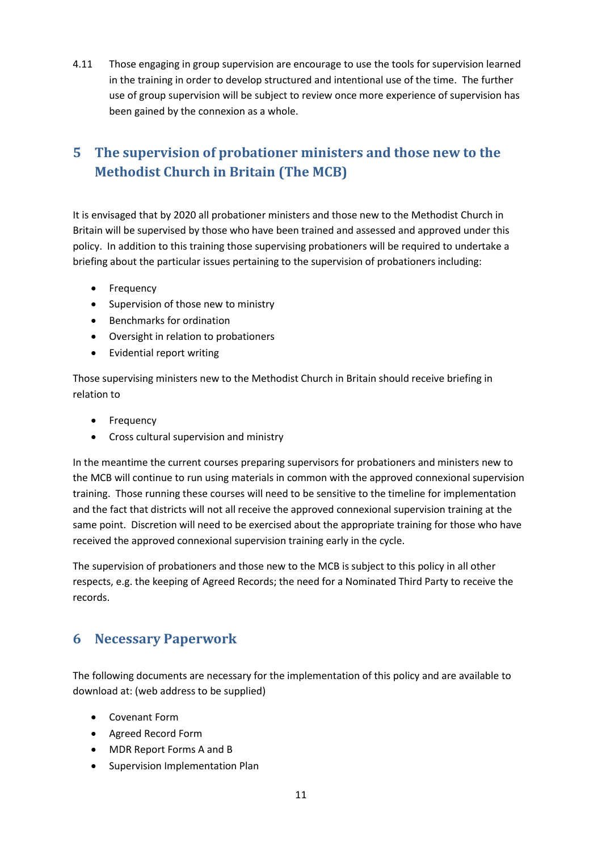4.11 Those engaging in group supervision are encourage to use the tools for supervision learned in the training in order to develop structured and intentional use of the time. The further use of group supervision will be subject to review once more experience of supervision has been gained by the connexion as a whole.

## **5 The supervision of probationer ministers and those new to the Methodist Church in Britain (The MCB)**

It is envisaged that by 2020 all probationer ministers and those new to the Methodist Church in Britain will be supervised by those who have been trained and assessed and approved under this policy. In addition to this training those supervising probationers will be required to undertake a briefing about the particular issues pertaining to the supervision of probationers including:

- Frequency
- Supervision of those new to ministry
- Benchmarks for ordination
- Oversight in relation to probationers
- Evidential report writing

Those supervising ministers new to the Methodist Church in Britain should receive briefing in relation to

- Frequency
- Cross cultural supervision and ministry

In the meantime the current courses preparing supervisors for probationers and ministers new to the MCB will continue to run using materials in common with the approved connexional supervision training. Those running these courses will need to be sensitive to the timeline for implementation and the fact that districts will not all receive the approved connexional supervision training at the same point. Discretion will need to be exercised about the appropriate training for those who have received the approved connexional supervision training early in the cycle.

The supervision of probationers and those new to the MCB is subject to this policy in all other respects, e.g. the keeping of Agreed Records; the need for a Nominated Third Party to receive the records.

### **6 Necessary Paperwork**

The following documents are necessary for the implementation of this policy and are available to download at: (web address to be supplied)

- Covenant Form
- Agreed Record Form
- MDR Report Forms A and B
- Supervision Implementation Plan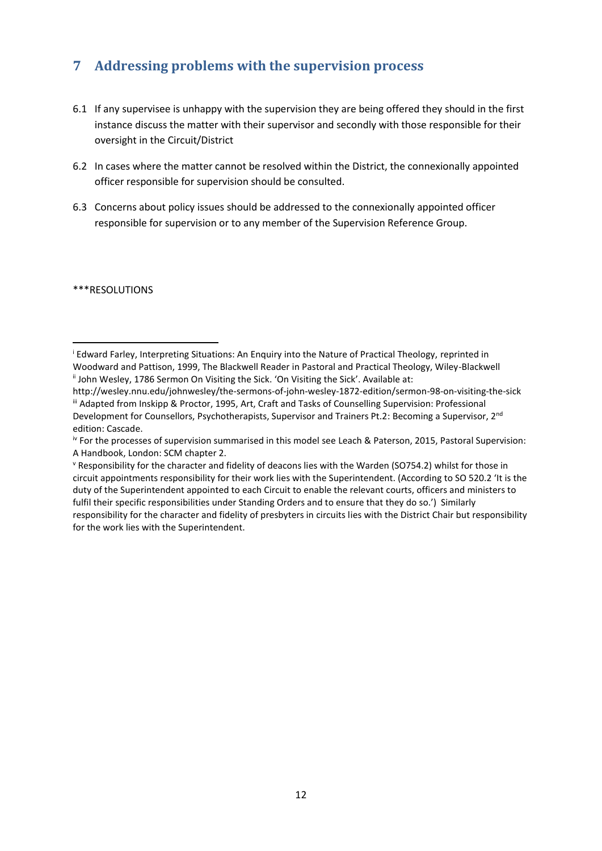## **7 Addressing problems with the supervision process**

- 6.1 If any supervisee is unhappy with the supervision they are being offered they should in the first instance discuss the matter with their supervisor and secondly with those responsible for their oversight in the Circuit/District
- 6.2 In cases where the matter cannot be resolved within the District, the connexionally appointed officer responsible for supervision should be consulted.
- 6.3 Concerns about policy issues should be addressed to the connexionally appointed officer responsible for supervision or to any member of the Supervision Reference Group.

\*\*\*RESOLUTIONS

<sup>i</sup> Edward Farley, Interpreting Situations: An Enquiry into the Nature of Practical Theology, reprinted in Woodward and Pattison, 1999, The Blackwell Reader in Pastoral and Practical Theology, Wiley-Blackwell <sup>ii</sup> John Wesley, 1786 Sermon On Visiting the Sick. 'On Visiting the Sick'. Available at: 1

http://wesley.nnu.edu/johnwesley/the-sermons-of-john-wesley-1872-edition/sermon-98-on-visiting-the-sick iii Adapted from Inskipp & Proctor, 1995, Art, Craft and Tasks of Counselling Supervision: Professional Development for Counsellors, Psychotherapists, Supervisor and Trainers Pt.2: Becoming a Supervisor, 2<sup>nd</sup> edition: Cascade.

iv For the processes of supervision summarised in this model see Leach & Paterson, 2015, Pastoral Supervision: A Handbook, London: SCM chapter 2.

<sup>v</sup> Responsibility for the character and fidelity of deacons lies with the Warden (SO754.2) whilst for those in circuit appointments responsibility for their work lies with the Superintendent. (According to SO 520.2 'It is the duty of the Superintendent appointed to each Circuit to enable the relevant courts, officers and ministers to fulfil their specific responsibilities under Standing Orders and to ensure that they do so.') Similarly responsibility for the character and fidelity of presbyters in circuits lies with the District Chair but responsibility for the work lies with the Superintendent.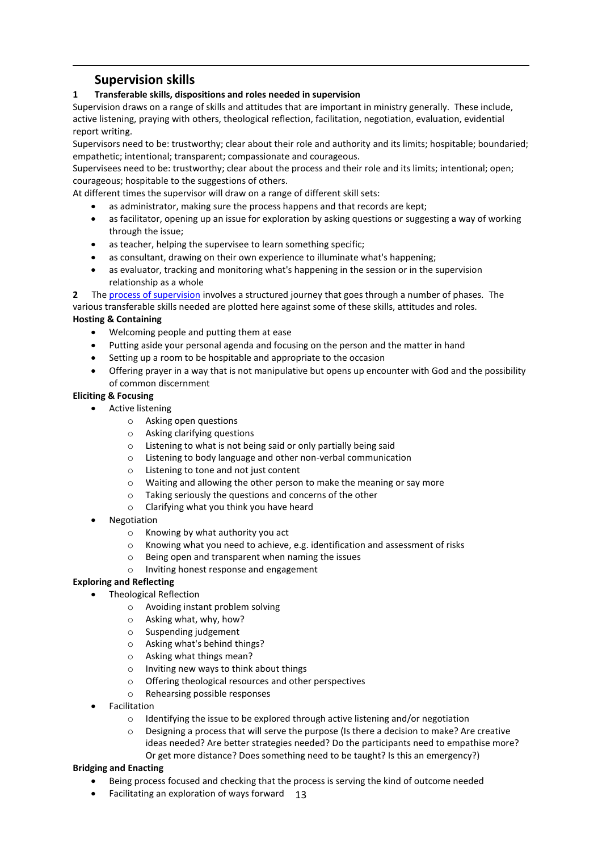### **Supervision skills**

**.** 

### **1 Transferable skills, dispositions and roles needed in supervision**

Supervision draws on a range of skills and attitudes that are important in ministry generally. These include, active listening, praying with others, theological reflection, facilitation, negotiation, evaluation, evidential report writing.

Supervisors need to be: trustworthy; clear about their role and authority and its limits; hospitable; boundaried; empathetic; intentional; transparent; compassionate and courageous.

Supervisees need to be: trustworthy; clear about the process and their role and its limits; intentional; open; courageous; hospitable to the suggestions of others.

At different times the supervisor will draw on a range of different skill sets:

- as administrator, making sure the process happens and that records are kept;
- as facilitator, opening up an issue for exploration by asking questions or suggesting a way of working through the issue;
- as teacher, helping the supervisee to learn something specific;
- as consultant, drawing on their own experience to illuminate what's happening;
- as evaluator, tracking and monitoring what's happening in the session or in the supervision relationship as a whole

**2** The [process of supervision](https://www.methodist.org.uk/media/1851/the-processes-of-supervision-0617.pdf) involves a structured journey that goes through a number of phases. The various transferable skills needed are plotted here against some of these skills, attitudes and roles.

#### **Hosting & Containing**

- Welcoming people and putting them at ease
- Putting aside your personal agenda and focusing on the person and the matter in hand
- Setting up a room to be hospitable and appropriate to the occasion
- Offering prayer in a way that is not manipulative but opens up encounter with God and the possibility of common discernment

#### **Eliciting & Focusing**

- Active listening
	- o Asking open questions
	- o Asking clarifying questions
	- o Listening to what is not being said or only partially being said
	- o Listening to body language and other non-verbal communication
	- o Listening to tone and not just content
	- o Waiting and allowing the other person to make the meaning or say more
	- o Taking seriously the questions and concerns of the other
	- o Clarifying what you think you have heard
- Negotiation
	- o Knowing by what authority you act
	- o Knowing what you need to achieve, e.g. identification and assessment of risks
	- o Being open and transparent when naming the issues
	- o Inviting honest response and engagement

### **Exploring and Reflecting**

- Theological Reflection
	- o Avoiding instant problem solving
	- o Asking what, why, how?
	- o Suspending judgement
	- o Asking what's behind things?
	- o Asking what things mean?
	- o Inviting new ways to think about things
	- o Offering theological resources and other perspectives
	- o Rehearsing possible responses
- Facilitation
	- o Identifying the issue to be explored through active listening and/or negotiation
	- Designing a process that will serve the purpose (Is there a decision to make? Are creative ideas needed? Are better strategies needed? Do the participants need to empathise more? Or get more distance? Does something need to be taught? Is this an emergency?)

#### **Bridging and Enacting**

- Being process focused and checking that the process is serving the kind of outcome needed
- Facilitating an exploration of ways forward 13